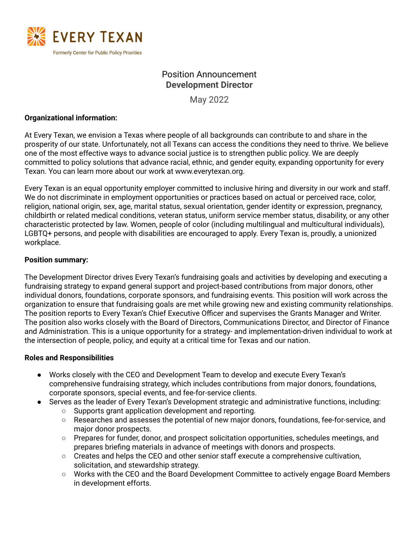

# Position Announcement **Development Director**

May 2022

### **Organizational information:**

At Every Texan, we envision a Texas where people of all backgrounds can contribute to and share in the prosperity of our state. Unfortunately, not all Texans can access the conditions they need to thrive. We believe one of the most effective ways to advance social justice is to strengthen public policy. We are deeply committed to policy solutions that advance racial, ethnic, and gender equity, expanding opportunity for every Texan. You can learn more about our work at www.everytexan.org.

Every Texan is an equal opportunity employer committed to inclusive hiring and diversity in our work and staff. We do not discriminate in employment opportunities or practices based on actual or perceived race, color, religion, national origin, sex, age, marital status, sexual orientation, gender identity or expression, pregnancy, childbirth or related medical conditions, veteran status, uniform service member status, disability, or any other characteristic protected by law. Women, people of color (including multilingual and multicultural individuals), LGBTQ+ persons, and people with disabilities are encouraged to apply. Every Texan is, proudly, a unionized workplace.

### **Position summary:**

The Development Director drives Every Texan's fundraising goals and activities by developing and executing a fundraising strategy to expand general support and project-based contributions from major donors, other individual donors, foundations, corporate sponsors, and fundraising events. This position will work across the organization to ensure that fundraising goals are met while growing new and existing community relationships. The position reports to Every Texan's Chief Executive Officer and supervises the Grants Manager and Writer. The position also works closely with the Board of Directors, Communications Director, and Director of Finance and Administration. This is a unique opportunity for a strategy- and implementation-driven individual to work at the intersection of people, policy, and equity at a critical time for Texas and our nation.

### **Roles and Responsibilities**

- Works closely with the CEO and Development Team to develop and execute Every Texan's comprehensive fundraising strategy, which includes contributions from major donors, foundations, corporate sponsors, special events, and fee-for-service clients.
- Serves as the leader of Every Texan's Development strategic and administrative functions, including:
	- Supports grant application development and reporting.
	- Researches and assesses the potential of new major donors, foundations, fee-for-service, and major donor prospects.
	- Prepares for funder, donor, and prospect solicitation opportunities, schedules meetings, and prepares briefing materials in advance of meetings with donors and prospects.
	- Creates and helps the CEO and other senior staff execute a comprehensive cultivation, solicitation, and stewardship strategy.
	- Works with the CEO and the Board Development Committee to actively engage Board Members in development efforts.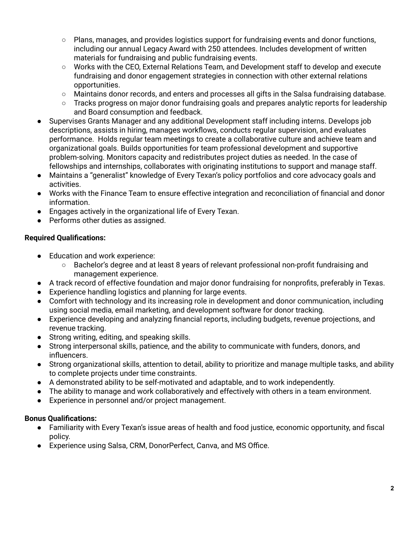- $\circ$  Plans, manages, and provides logistics support for fundraising events and donor functions, including our annual Legacy Award with 250 attendees. Includes development of written materials for fundraising and public fundraising events.
- Works with the CEO, External Relations Team, and Development staff to develop and execute fundraising and donor engagement strategies in connection with other external relations opportunities.
- Maintains donor records, and enters and processes all gifts in the Salsa fundraising database.
- $\circ$  Tracks progress on major donor fundraising goals and prepares analytic reports for leadership and Board consumption and feedback.
- Supervises Grants Manager and any additional Development staff including interns. Develops job descriptions, assists in hiring, manages workflows, conducts regular supervision, and evaluates performance. Holds regular team meetings to create a collaborative culture and achieve team and organizational goals. Builds opportunities for team professional development and supportive problem-solving. Monitors capacity and redistributes project duties as needed. In the case of fellowships and internships, collaborates with originating institutions to support and manage staff.
- Maintains a "generalist" knowledge of Every Texan's policy portfolios and core advocacy goals and activities.
- Works with the Finance Team to ensure effective integration and reconciliation of financial and donor information.
- Engages actively in the organizational life of Every Texan.
- Performs other duties as assigned.

# **Required Qualifications:**

- Education and work experience:
	- Bachelor's degree and at least 8 years of relevant professional non-profit fundraising and management experience.
- A track record of effective foundation and major donor fundraising for nonprofits, preferably in Texas.
- Experience handling logistics and planning for large events.
- Comfort with technology and its increasing role in development and donor communication, including using social media, email marketing, and development software for donor tracking.
- Experience developing and analyzing financial reports, including budgets, revenue projections, and revenue tracking.
- Strong writing, editing, and speaking skills.
- Strong interpersonal skills, patience, and the ability to communicate with funders, donors, and influencers.
- Strong organizational skills, attention to detail, ability to prioritize and manage multiple tasks, and ability to complete projects under time constraints.
- A demonstrated ability to be self-motivated and adaptable, and to work independently.
- The ability to manage and work collaboratively and effectively with others in a team environment.
- Experience in personnel and/or project management.

# **Bonus Qualifications:**

- Familiarity with Every Texan's issue areas of health and food justice, economic opportunity, and fiscal policy.
- Experience using Salsa, CRM, DonorPerfect, Canva, and MS Office.